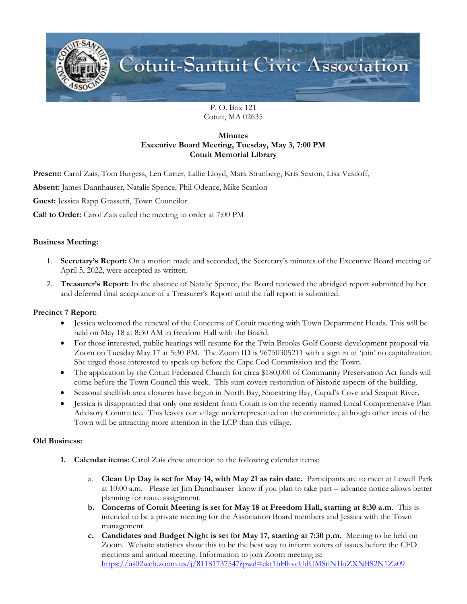

P. O. Box 121 Cotuit, MA 02635

# **Minutes Executive Board Meeting, Tuesday, May 3, 7:00 PM Cotuit Memorial Library**

**Present:** Carol Zais, Tom Burgess, Len Carter, Lallie Lloyd, Mark Stranberg, Kris Sexton, Lisa Vasiloff,

**Absent:** James Dannhauser, Natalie Spence, Phil Odence, Mike Scanlon

**Guest:** Jessica Rapp Grassetti, Town Councilor

**Call to Order:** Carol Zais called the meeting to order at 7:00 PM

### **Business Meeting:**

- 1. **Secretary's Report:** On a motion made and seconded, the Secretary's minutes of the Executive Board meeting of April 5, 2022, were accepted as written.
- 2. **Treasurer's Report:** In the absence of Natalie Spence, the Board reviewed the abridged report submitted by her and deferred final acceptance of a Treasurer's Report until the full report is submitted.

## **Precinct 7 Report:**

- Jessica welcomed the renewal of the Concerns of Cotuit meeting with Town Department Heads. This will be held on May 18 at 8:30 AM in freedom Hall with the Board.
- For those interested, public hearings will resume for the Twin Brooks Golf Course development proposal via Zoom on Tuesday May 17 at 5:30 PM. The Zoom ID is 96750305211 with a sign in of 'join' no capitalization. She urged those interested to speak up before the Cape Cod Commission and the Town.
- The application by the Cotuit Federated Church for circa \$180,000 of Community Preservation Act funds will come before the Town Council this week. This sum covers restoration of historic aspects of the building.
- Seasonal shellfish area closures have begun in North Bay, Shoestring Bay, Cupid's Cove and Seapuit River.
- Jessica is disappointed that only one resident from Cotuit is on the recently named Local Comprehensive Plan Advisory Committee. This leaves our village underrepresented on the committee, although other areas of the Town will be attracting more attention in the LCP than this village.

#### **Old Business:**

- **1. Calendar items:** Carol Zais drew attention to the following calendar items:
	- a. **Clean Up Day is set for May 14, with May 21 as rain date.** Participants are to meet at Lowell Park at 10:00 a.m. Please let Jim Dannhauser know if you plan to take part – advance notice allows better planning for route assignment.
	- **b. Concerns of Cotuit Meeting is set for May 18 at Freedom Hall, starting at 8:30 a.m**. This is intended to be a private meeting for the Association Board members and Jessica with the Town management.
	- **c. Candidates and Budget Night is set for May 17, starting at 7:30 p.m.** Meeting to be held on Zoom. Website statistics show this to be the best way to inform voters of issues before the CFD elections and annual meeting. Information to join Zoom meeting is**:**  <https://us02web.zoom.us/j/81181737547?pwd=ekt1bHhvcUdUMStlN1loZXNBS2N1Zz09>